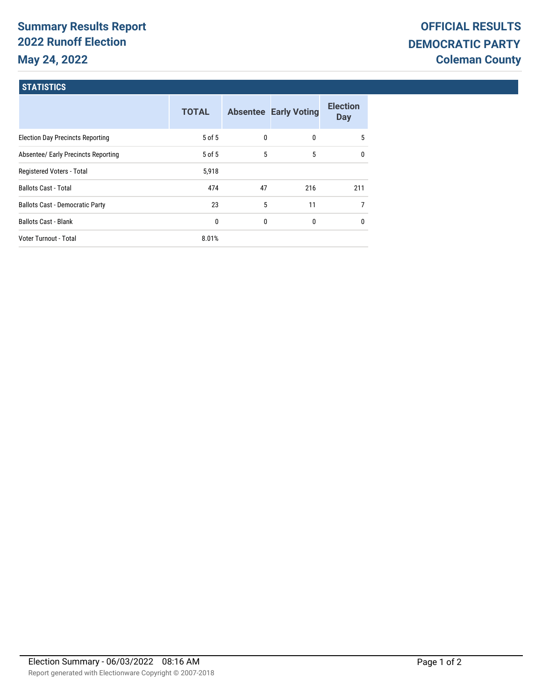# **Summary Results Report 2022 Runoff Election May 24, 2022**

## **STATISTICS**

|                                         | <b>TOTAL</b> |              | <b>Absentee Early Voting</b> | <b>Election</b><br><b>Day</b> |
|-----------------------------------------|--------------|--------------|------------------------------|-------------------------------|
| <b>Election Day Precincts Reporting</b> | 5 of 5       | $\mathbf{0}$ | 0                            | 5                             |
| Absentee/ Early Precincts Reporting     | 5 of 5       | 5            | 5                            | 0                             |
| Registered Voters - Total               | 5,918        |              |                              |                               |
| <b>Ballots Cast - Total</b>             | 474          | 47           | 216                          | 211                           |
| <b>Ballots Cast - Democratic Party</b>  | 23           | 5            | 11                           | $\overline{7}$                |
| <b>Ballots Cast - Blank</b>             | 0            | $\mathbf{0}$ | 0                            | $\mathbf{0}$                  |
| Voter Turnout - Total                   | 8.01%        |              |                              |                               |